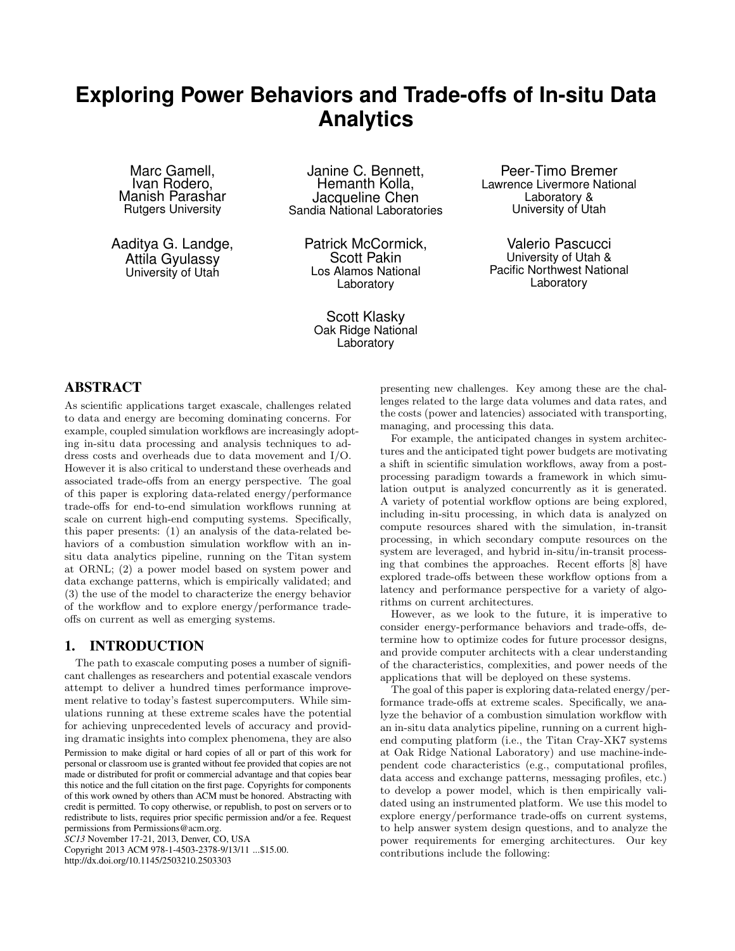# **Exploring Power Behaviors and Trade-offs of In-situ Data Analytics**

Marc Gamell, Ivan Rodero, Manish Parashar Rutgers University

Aaditya G. Landge, Attila Gyulassy University of Utah

Janine C. Bennett, Hemanth Kolla, Jacqueline Chen Sandia National Laboratories

> Patrick McCormick, Scott Pakin Los Alamos National Laboratory

Scott Klasky Oak Ridge National Laboratory

Peer-Timo Bremer Lawrence Livermore National Laboratory & University of Utah

Valerio Pascucci University of Utah & Pacific Northwest National Laboratory

### ABSTRACT

As scientific applications target exascale, challenges related to data and energy are becoming dominating concerns. For example, coupled simulation workflows are increasingly adopting in-situ data processing and analysis techniques to address costs and overheads due to data movement and I/O. However it is also critical to understand these overheads and associated trade-offs from an energy perspective. The goal of this paper is exploring data-related energy/performance trade-offs for end-to-end simulation workflows running at scale on current high-end computing systems. Specifically, this paper presents: (1) an analysis of the data-related behaviors of a combustion simulation workflow with an insitu data analytics pipeline, running on the Titan system at ORNL; (2) a power model based on system power and data exchange patterns, which is empirically validated; and (3) the use of the model to characterize the energy behavior of the workflow and to explore energy/performance tradeoffs on current as well as emerging systems.

### 1. INTRODUCTION

The path to exascale computing poses a number of significant challenges as researchers and potential exascale vendors attempt to deliver a hundred times performance improvement relative to today's fastest supercomputers. While simulations running at these extreme scales have the potential for achieving unprecedented levels of accuracy and providing dramatic insights into complex phenomena, they are also

Permission to make digital or hard copies of all or part of this work for personal or classroom use is granted without fee provided that copies are not made or distributed for profit or commercial advantage and that copies bear this notice and the full citation on the first page. Copyrights for components of this work owned by others than ACM must be honored. Abstracting with credit is permitted. To copy otherwise, or republish, to post on servers or to redistribute to lists, requires prior specific permission and/or a fee. Request

permissions from Permissions@acm.org. *SC13* November 17-21, 2013, Denver, CO, USA

Copyright 2013 ACM 978-1-4503-2378-9/13/11 ...\$15.00. http://dx.doi.org/10.1145/2503210.2503303

presenting new challenges. Key among these are the challenges related to the large data volumes and data rates, and the costs (power and latencies) associated with transporting, managing, and processing this data.

For example, the anticipated changes in system architectures and the anticipated tight power budgets are motivating a shift in scientific simulation workflows, away from a postprocessing paradigm towards a framework in which simulation output is analyzed concurrently as it is generated. A variety of potential workflow options are being explored, including in-situ processing, in which data is analyzed on compute resources shared with the simulation, in-transit processing, in which secondary compute resources on the system are leveraged, and hybrid in-situ/in-transit processing that combines the approaches. Recent efforts [8] have explored trade-offs between these workflow options from a latency and performance perspective for a variety of algorithms on current architectures.

However, as we look to the future, it is imperative to consider energy-performance behaviors and trade-offs, determine how to optimize codes for future processor designs, and provide computer architects with a clear understanding of the characteristics, complexities, and power needs of the applications that will be deployed on these systems.

The goal of this paper is exploring data-related energy/performance trade-offs at extreme scales. Specifically, we analyze the behavior of a combustion simulation workflow with an in-situ data analytics pipeline, running on a current highend computing platform (i.e., the Titan Cray-XK7 systems at Oak Ridge National Laboratory) and use machine-independent code characteristics (e.g., computational profiles, data access and exchange patterns, messaging profiles, etc.) to develop a power model, which is then empirically validated using an instrumented platform. We use this model to explore energy/performance trade-offs on current systems, to help answer system design questions, and to analyze the power requirements for emerging architectures. Our key contributions include the following: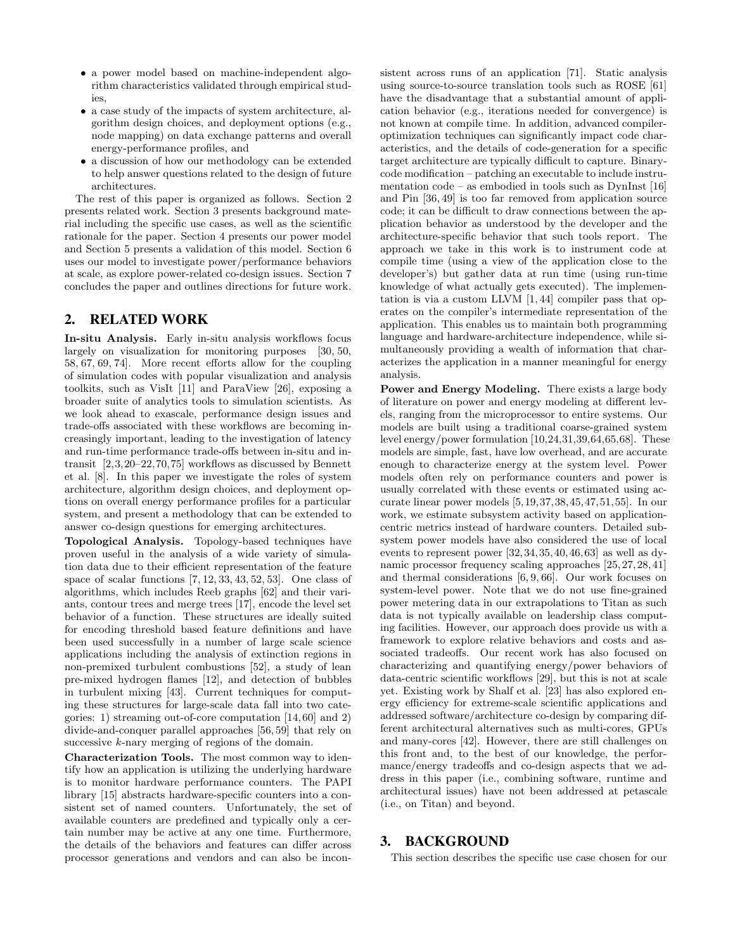- a power model based on machine-independent algorithm characteristics validated through empirical studies,
- a case study of the impacts of system architecture, algorithm design choices, and deployment options (e.g., node mapping) on data exchange patterns and overall energy-performance profiles, and
- a discussion of how our methodology can be extended to help answer questions related to the design of future architectures.

The rest of this paper is organized as follows. Section 2 presents related work. Section 3 presents background material including the specific use cases, as well as the scientific rationale for the paper. Section 4 presents our power model and Section 5 presents a validation of this model. Section 6 uses our model to investigate power/performance behaviors at scale, as explore power-related co-design issues. Section 7 concludes the paper and outlines directions for future work.

### 2. RELATED WORK

In-situ Analysis. Early in-situ analysis workflows focus largely on visualization for monitoring purposes [30, 50, 58, 67, 69, 74]. More recent efforts allow for the coupling of simulation codes with popular visualization and analysis toolkits, such as VisIt [11] and ParaView [26], exposing a broader suite of analytics tools to simulation scientists. As we look ahead to exascale, performance design issues and trade-offs associated with these workflows are becoming increasingly important, leading to the investigation of latency and run-time performance trade-offs between in-situ and intransit [2,3,20–22,70,75] workflows as discussed by Bennett et al. [8]. In this paper we investigate the roles of system architecture, algorithm design choices, and deployment options on overall energy performance profiles for a particular system, and present a methodology that can be extended to answer co-design questions for emerging architectures.

Topological Analysis. Topology-based techniques have proven useful in the analysis of a wide variety of simulation data due to their efficient representation of the feature space of scalar functions [7, 12, 33, 43, 52, 53]. One class of algorithms, which includes Reeb graphs [62] and their variants, contour trees and merge trees [17], encode the level set behavior of a function. These structures are ideally suited for encoding threshold based feature definitions and have been used successfully in a number of large scale science applications including the analysis of extinction regions in non-premixed turbulent combustions [52], a study of lean pre-mixed hydrogen flames [12], and detection of bubbles in turbulent mixing [43]. Current techniques for computing these structures for large-scale data fall into two categories: 1) streaming out-of-core computation [14, 60] and 2) divide-and-conquer parallel approaches [56, 59] that rely on successive k-nary merging of regions of the domain.

Characterization Tools. The most common way to identify how an application is utilizing the underlying hardware is to monitor hardware performance counters. The PAPI library [15] abstracts hardware-specific counters into a consistent set of named counters. Unfortunately, the set of available counters are predefined and typically only a certain number may be active at any one time. Furthermore, the details of the behaviors and features can differ across processor generations and vendors and can also be inconsistent across runs of an application [71]. Static analysis using source-to-source translation tools such as ROSE [61] have the disadvantage that a substantial amount of application behavior (e.g., iterations needed for convergence) is not known at compile time. In addition, advanced compileroptimization techniques can significantly impact code characteristics, and the details of code-generation for a specific target architecture are typically difficult to capture. Binarycode modification – patching an executable to include instrumentation code – as embodied in tools such as DynInst [16] and Pin [36, 49] is too far removed from application source code; it can be difficult to draw connections between the application behavior as understood by the developer and the architecture-specific behavior that such tools report. The approach we take in this work is to instrument code at compile time (using a view of the application close to the developer's) but gather data at run time (using run-time knowledge of what actually gets executed). The implementation is via a custom LLVM [1, 44] compiler pass that operates on the compiler's intermediate representation of the application. This enables us to maintain both programming language and hardware-architecture independence, while simultaneously providing a wealth of information that characterizes the application in a manner meaningful for energy analysis.

Power and Energy Modeling. There exists a large body of literature on power and energy modeling at different levels, ranging from the microprocessor to entire systems. Our models are built using a traditional coarse-grained system level energy/power formulation [10,24,31,39,64,65,68]. These models are simple, fast, have low overhead, and are accurate enough to characterize energy at the system level. Power models often rely on performance counters and power is usually correlated with these events or estimated using accurate linear power models [5,19,37,38,45,47,51,55]. In our work, we estimate subsystem activity based on applicationcentric metrics instead of hardware counters. Detailed subsystem power models have also considered the use of local events to represent power [32,34,35,40,46,63] as well as dynamic processor frequency scaling approaches [25, 27, 28, 41] and thermal considerations [6, 9, 66]. Our work focuses on system-level power. Note that we do not use fine-grained power metering data in our extrapolations to Titan as such data is not typically available on leadership class computing facilities. However, our approach does provide us with a framework to explore relative behaviors and costs and associated tradeoffs. Our recent work has also focused on characterizing and quantifying energy/power behaviors of data-centric scientific workflows [29], but this is not at scale yet. Existing work by Shalf et al. [23] has also explored energy efficiency for extreme-scale scientific applications and addressed software/architecture co-design by comparing different architectural alternatives such as multi-cores, GPUs and many-cores [42]. However, there are still challenges on this front and, to the best of our knowledge, the performance/energy tradeoffs and co-design aspects that we address in this paper (i.e., combining software, runtime and architectural issues) have not been addressed at petascale (i.e., on Titan) and beyond.

### 3. BACKGROUND

This section describes the specific use case chosen for our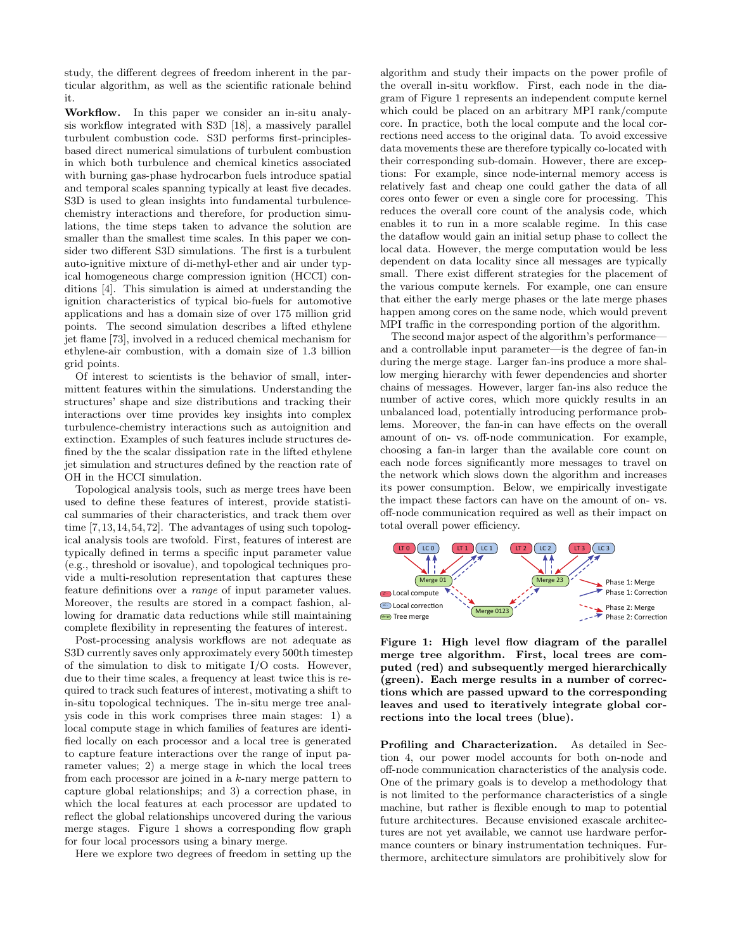study, the different degrees of freedom inherent in the particular algorithm, as well as the scientific rationale behind it.

Workflow. In this paper we consider an in-situ analysis workflow integrated with S3D [18], a massively parallel turbulent combustion code. S3D performs first-principlesbased direct numerical simulations of turbulent combustion in which both turbulence and chemical kinetics associated with burning gas-phase hydrocarbon fuels introduce spatial and temporal scales spanning typically at least five decades. S3D is used to glean insights into fundamental turbulencechemistry interactions and therefore, for production simulations, the time steps taken to advance the solution are smaller than the smallest time scales. In this paper we consider two different S3D simulations. The first is a turbulent auto-ignitive mixture of di-methyl-ether and air under typical homogeneous charge compression ignition (HCCI) conditions [4]. This simulation is aimed at understanding the ignition characteristics of typical bio-fuels for automotive applications and has a domain size of over 175 million grid points. The second simulation describes a lifted ethylene jet flame [73], involved in a reduced chemical mechanism for ethylene-air combustion, with a domain size of 1.3 billion grid points.

Of interest to scientists is the behavior of small, intermittent features within the simulations. Understanding the structures' shape and size distributions and tracking their interactions over time provides key insights into complex turbulence-chemistry interactions such as autoignition and extinction. Examples of such features include structures defined by the the scalar dissipation rate in the lifted ethylene jet simulation and structures defined by the reaction rate of OH in the HCCI simulation.

Topological analysis tools, such as merge trees have been used to define these features of interest, provide statistical summaries of their characteristics, and track them over time [7,13,14,54,72]. The advantages of using such topological analysis tools are twofold. First, features of interest are typically defined in terms a specific input parameter value (e.g., threshold or isovalue), and topological techniques provide a multi-resolution representation that captures these feature definitions over a *range* of input parameter values. Moreover, the results are stored in a compact fashion, allowing for dramatic data reductions while still maintaining complete flexibility in representing the features of interest.

Post-processing analysis workflows are not adequate as S3D currently saves only approximately every 500th timestep of the simulation to disk to mitigate I/O costs. However, due to their time scales, a frequency at least twice this is required to track such features of interest, motivating a shift to in-situ topological techniques. The in-situ merge tree analysis code in this work comprises three main stages: 1) a local compute stage in which families of features are identified locally on each processor and a local tree is generated to capture feature interactions over the range of input parameter values; 2) a merge stage in which the local trees from each processor are joined in a k-nary merge pattern to capture global relationships; and 3) a correction phase, in which the local features at each processor are updated to reflect the global relationships uncovered during the various merge stages. Figure 1 shows a corresponding flow graph for four local processors using a binary merge.

Here we explore two degrees of freedom in setting up the

algorithm and study their impacts on the power profile of the overall in-situ workflow. First, each node in the diagram of Figure 1 represents an independent compute kernel which could be placed on an arbitrary MPI rank/compute core. In practice, both the local compute and the local corrections need access to the original data. To avoid excessive data movements these are therefore typically co-located with their corresponding sub-domain. However, there are exceptions: For example, since node-internal memory access is relatively fast and cheap one could gather the data of all cores onto fewer or even a single core for processing. This reduces the overall core count of the analysis code, which enables it to run in a more scalable regime. In this case the dataflow would gain an initial setup phase to collect the local data. However, the merge computation would be less dependent on data locality since all messages are typically small. There exist different strategies for the placement of the various compute kernels. For example, one can ensure that either the early merge phases or the late merge phases happen among cores on the same node, which would prevent MPI traffic in the corresponding portion of the algorithm.

The second major aspect of the algorithm's performance and a controllable input parameter—is the degree of fan-in during the merge stage. Larger fan-ins produce a more shallow merging hierarchy with fewer dependencies and shorter chains of messages. However, larger fan-ins also reduce the number of active cores, which more quickly results in an unbalanced load, potentially introducing performance problems. Moreover, the fan-in can have effects on the overall amount of on- vs. off-node communication. For example, choosing a fan-in larger than the available core count on each node forces significantly more messages to travel on the network which slows down the algorithm and increases its power consumption. Below, we empirically investigate the impact these factors can have on the amount of on- vs. off-node communication required as well as their impact on total overall power efficiency.



Figure 1: High level flow diagram of the parallel merge tree algorithm. First, local trees are computed (red) and subsequently merged hierarchically (green). Each merge results in a number of corrections which are passed upward to the corresponding leaves and used to iteratively integrate global corrections into the local trees (blue).

Profiling and Characterization. As detailed in Section 4, our power model accounts for both on-node and off-node communication characteristics of the analysis code. One of the primary goals is to develop a methodology that is not limited to the performance characteristics of a single machine, but rather is flexible enough to map to potential future architectures. Because envisioned exascale architectures are not yet available, we cannot use hardware performance counters or binary instrumentation techniques. Furthermore, architecture simulators are prohibitively slow for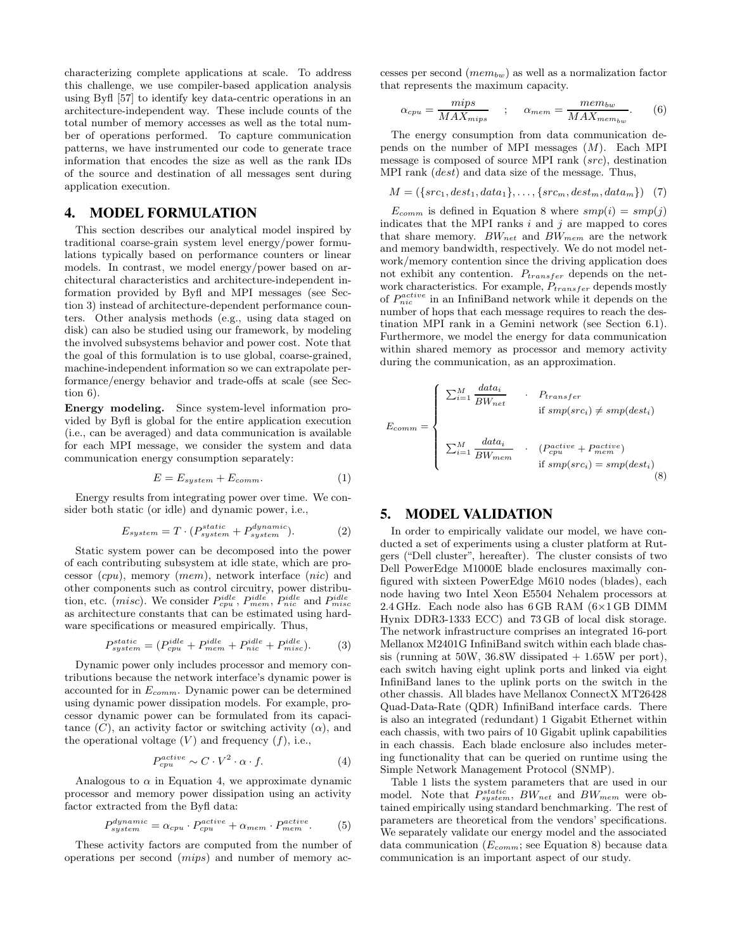characterizing complete applications at scale. To address this challenge, we use compiler-based application analysis using Byfl [57] to identify key data-centric operations in an architecture-independent way. These include counts of the total number of memory accesses as well as the total number of operations performed. To capture communication patterns, we have instrumented our code to generate trace information that encodes the size as well as the rank IDs of the source and destination of all messages sent during application execution.

### 4. MODEL FORMULATION

This section describes our analytical model inspired by traditional coarse-grain system level energy/power formulations typically based on performance counters or linear models. In contrast, we model energy/power based on architectural characteristics and architecture-independent information provided by Byfl and MPI messages (see Section 3) instead of architecture-dependent performance counters. Other analysis methods (e.g., using data staged on disk) can also be studied using our framework, by modeling the involved subsystems behavior and power cost. Note that the goal of this formulation is to use global, coarse-grained, machine-independent information so we can extrapolate performance/energy behavior and trade-offs at scale (see Section 6).

Energy modeling. Since system-level information provided by Byfl is global for the entire application execution (i.e., can be averaged) and data communication is available for each MPI message, we consider the system and data communication energy consumption separately:

$$
E = E_{system} + E_{comm}.
$$
 (1)

Energy results from integrating power over time. We consider both static (or idle) and dynamic power, i.e.,

$$
E_{system} = T \cdot (P_{system}^{static} + P_{system}^{dynamic}). \tag{2}
$$

Static system power can be decomposed into the power of each contributing subsystem at idle state, which are processor (cpu), memory (mem), network interface (nic) and other components such as control circuitry, power distribution, etc. (misc). We consider  $P_{cpu}^{idle}$ ,  $P_{mem}^{idle}$ ,  $P_{nic}^{idle}$  and  $P_{misc}^{idle}$ as architecture constants that can be estimated using hardware specifications or measured empirically. Thus,

$$
P_{system}^{static} = (P_{cpu}^{idle} + P_{mem}^{idle} + P_{nic}^{idle} + P_{miss}^{idle}).
$$
 (3)

Dynamic power only includes processor and memory contributions because the network interface's dynamic power is accounted for in  $E_{comm.}$  Dynamic power can be determined using dynamic power dissipation models. For example, processor dynamic power can be formulated from its capacitance  $(C)$ , an activity factor or switching activity  $(\alpha)$ , and the operational voltage  $(V)$  and frequency  $(f)$ , i.e.,

$$
P_{cpu}^{active} \sim C \cdot V^2 \cdot \alpha \cdot f. \tag{4}
$$

Analogous to  $\alpha$  in Equation 4, we approximate dynamic processor and memory power dissipation using an activity factor extracted from the Byfl data:

$$
P_{system}^{dynamic} = \alpha_{cpu} \cdot P_{cpu}^{active} + \alpha_{mem} \cdot P_{mem}^{active} \,. \tag{5}
$$

These activity factors are computed from the number of operations per second (mips) and number of memory accesses per second  $(mem_{bw})$  as well as a normalization factor that represents the maximum capacity.

$$
\alpha_{cpu} = \frac{mips}{MAX_{mips}} \quad ; \quad \alpha_{mem} = \frac{mem_{bw}}{MAX_{mem_{bw}}}. \quad (6)
$$

The energy consumption from data communication depends on the number of MPI messages  $(M)$ . Each MPI message is composed of source MPI rank (src), destination MPI rank (dest) and data size of the message. Thus,

$$
M = (\{src_1, dest_1, data_1\}, \ldots, \{src_m, dest_m, data_m\}) \quad (7)
$$

 $E_{comm}$  is defined in Equation 8 where  $smp(i) = smp(j)$ indicates that the MPI ranks  $i$  and  $j$  are mapped to cores that share memory.  $BW_{net}$  and  $BW_{mem}$  are the network and memory bandwidth, respectively. We do not model network/memory contention since the driving application does not exhibit any contention.  $P_{transfer}$  depends on the network characteristics. For example,  $P_{transfer}$  depends mostly of  $P_{nic}^{active}$  in an InfiniBand network while it depends on the number of hops that each message requires to reach the destination MPI rank in a Gemini network (see Section 6.1). Furthermore, we model the energy for data communication within shared memory as processor and memory activity during the communication, as an approximation.

$$
E_{comm} = \begin{cases} \sum_{i=1}^{M} \frac{data_i}{BW_{net}} & \cdot & P_{transfer} \\ & \text{if } smp(src_i) \neq smp(dest_i) \\ & \\ \sum_{i=1}^{M} \frac{data_i}{BW_{mem}} & \cdot & (P_{cpu}^{active} + P_{mem}^{active}) \\ & \text{if } smp(src_i) = smp(dest_i) \end{cases} \tag{8}
$$

### 5. MODEL VALIDATION

In order to empirically validate our model, we have conducted a set of experiments using a cluster platform at Rutgers ("Dell cluster", hereafter). The cluster consists of two Dell PowerEdge M1000E blade enclosures maximally configured with sixteen PowerEdge M610 nodes (blades), each node having two Intel Xeon E5504 Nehalem processors at 2.4 GHz. Each node also has  $6$  GB RAM  $(6\times1$  GB DIMM Hynix DDR3-1333 ECC) and 73 GB of local disk storage. The network infrastructure comprises an integrated 16-port Mellanox M2401G InfiniBand switch within each blade chassis (running at  $50W$ ,  $36.8W$  dissipated  $+1.65W$  per port), each switch having eight uplink ports and linked via eight InfiniBand lanes to the uplink ports on the switch in the other chassis. All blades have Mellanox ConnectX MT26428 Quad-Data-Rate (QDR) InfiniBand interface cards. There is also an integrated (redundant) 1 Gigabit Ethernet within each chassis, with two pairs of 10 Gigabit uplink capabilities in each chassis. Each blade enclosure also includes metering functionality that can be queried on runtime using the Simple Network Management Protocol (SNMP).

Table 1 lists the system parameters that are used in our model. Note that  $P_{system}^{static}$ ,  $BW_{net}$  and  $BW_{mem}$  were obtained empirically using standard benchmarking. The rest of parameters are theoretical from the vendors' specifications. We separately validate our energy model and the associated data communication  $(E_{comm};$  see Equation 8) because data communication is an important aspect of our study.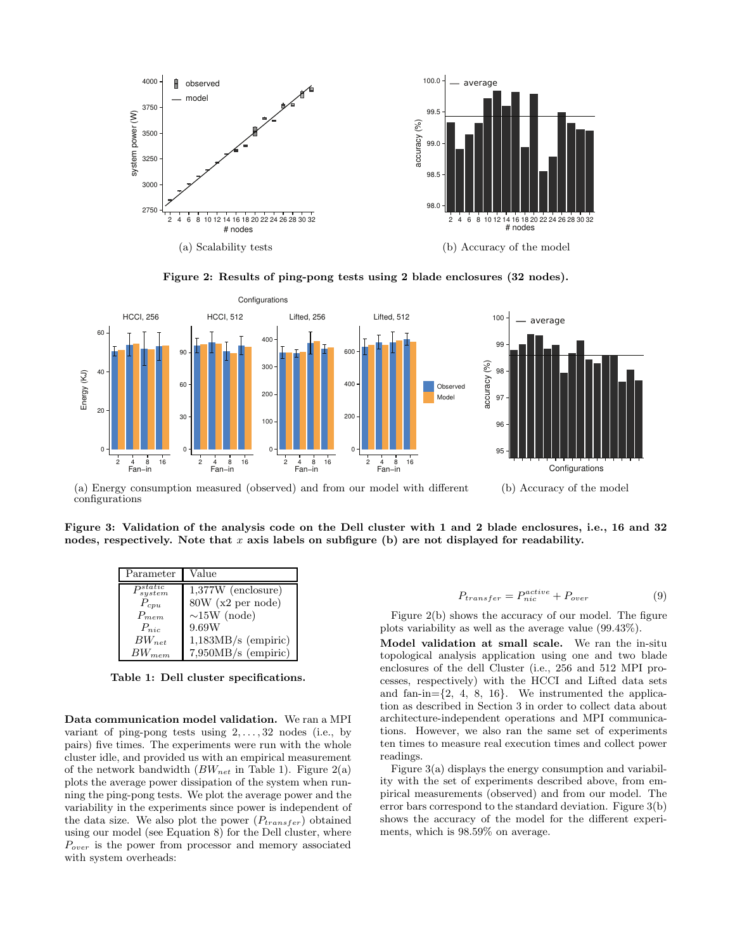

Figure 2: Results of ping-pong tests using 2 blade enclosures (32 nodes).



(a) Energy consumption measured (observed) and from our model with different configurations (b) Accuracy of the model

Figure 3: Validation of the analysis code on the Dell cluster with 1 and 2 blade enclosures, i.e., 16 and 32 nodes, respectively. Note that  $x$  axis labels on subfigure (b) are not displayed for readability.

| Parameter             | Value                 |
|-----------------------|-----------------------|
| $P_{system}^{static}$ | $1,377W$ (enclosure)  |
| $P_{cpu}$             | 80W (x2 per node)     |
| $P_{mem}$             | $\sim$ 15W (node)     |
| $P_{nic}$             | 9.69W                 |
| $BW_{net}$            | $1,183MB/s$ (empiric) |
| $BW_{mem}$            | 7,950MB/s (empiric)   |

Table 1: Dell cluster specifications.

Data communication model validation. We ran a MPI variant of ping-pong tests using  $2, \ldots, 32$  nodes (i.e., by pairs) five times. The experiments were run with the whole cluster idle, and provided us with an empirical measurement of the network bandwidth  $(BW_{net}$  in Table 1). Figure 2(a) plots the average power dissipation of the system when running the ping-pong tests. We plot the average power and the variability in the experiments since power is independent of the data size. We also plot the power  $(P_{transfer})$  obtained using our model (see Equation 8) for the Dell cluster, where  $P_{over}$  is the power from processor and memory associated with system overheads:

$$
P_{transfer} = P_{nic}^{active} + P_{over} \tag{9}
$$

Figure 2(b) shows the accuracy of our model. The figure plots variability as well as the average value (99.43%).

Model validation at small scale. We ran the in-situ topological analysis application using one and two blade enclosures of the dell Cluster (i.e., 256 and 512 MPI processes, respectively) with the HCCI and Lifted data sets and fan-in= $\{2, 4, 8, 16\}$ . We instrumented the application as described in Section 3 in order to collect data about architecture-independent operations and MPI communications. However, we also ran the same set of experiments ten times to measure real execution times and collect power readings.

Figure 3(a) displays the energy consumption and variability with the set of experiments described above, from empirical measurements (observed) and from our model. The error bars correspond to the standard deviation. Figure 3(b) shows the accuracy of the model for the different experiments, which is 98.59% on average.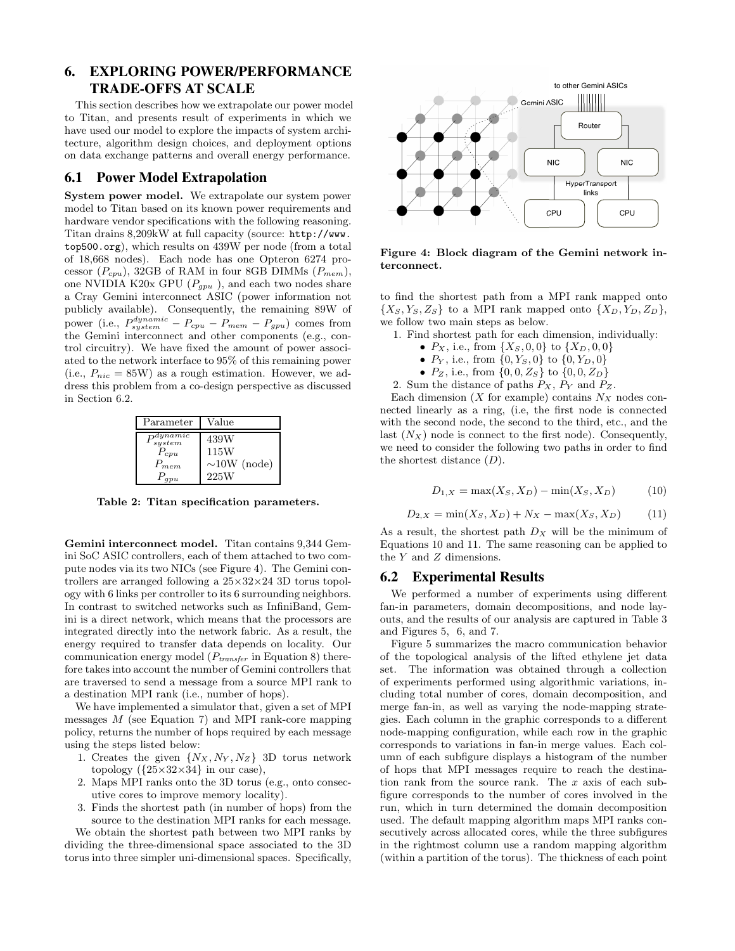## 6. EXPLORING POWER/PERFORMANCE TRADE-OFFS AT SCALE

This section describes how we extrapolate our power model to Titan, and presents result of experiments in which we have used our model to explore the impacts of system architecture, algorithm design choices, and deployment options on data exchange patterns and overall energy performance.

### 6.1 Power Model Extrapolation

System power model. We extrapolate our system power model to Titan based on its known power requirements and hardware vendor specifications with the following reasoning. Titan drains 8,209kW at full capacity (source: http://www. top500.org), which results on 439W per node (from a total of 18,668 nodes). Each node has one Opteron 6274 processor  $(P_{cpu})$ , 32GB of RAM in four 8GB DIMMs  $(P_{mem})$ , one NVIDIA K20x GPU  $(P_{gpu}$ ), and each two nodes share a Cray Gemini interconnect ASIC (power information not publicly available). Consequently, the remaining 89W of power (i.e.,  $P_{system}^{dynamic} - P_{cpu} - P_{mem} - P_{gpu}$ ) comes from the Gemini interconnect and other components (e.g., control circuitry). We have fixed the amount of power associated to the network interface to 95% of this remaining power (i.e.,  $P_{nic} = 85W$ ) as a rough estimation. However, we address this problem from a co-design perspective as discussed in Section 6.2.

| Parameter              | Value                    |
|------------------------|--------------------------|
| $_{system}^{dynamic}$  | 439W                     |
| $P_{cpu}$<br>$P_{mem}$ | 115W<br>$\sim10W$ (node) |
|                        | 225W                     |

Table 2: Titan specification parameters.

Gemini interconnect model. Titan contains 9,344 Gemini SoC ASIC controllers, each of them attached to two compute nodes via its two NICs (see Figure 4). The Gemini controllers are arranged following a 25×32×24 3D torus topology with 6 links per controller to its 6 surrounding neighbors. In contrast to switched networks such as InfiniBand, Gemini is a direct network, which means that the processors are integrated directly into the network fabric. As a result, the energy required to transfer data depends on locality. Our communication energy model ( $P_{transfer}$  in Equation 8) therefore takes into account the number of Gemini controllers that are traversed to send a message from a source MPI rank to a destination MPI rank (i.e., number of hops).

We have implemented a simulator that, given a set of MPI messages M (see Equation 7) and MPI rank-core mapping policy, returns the number of hops required by each message using the steps listed below:

- 1. Creates the given  $\{N_X, N_Y, N_Z\}$  3D torus network topology  $({25 \times 32 \times 34}$  in our case),
- 2. Maps MPI ranks onto the 3D torus (e.g., onto consecutive cores to improve memory locality).
- 3. Finds the shortest path (in number of hops) from the source to the destination MPI ranks for each message.

We obtain the shortest path between two MPI ranks by dividing the three-dimensional space associated to the 3D torus into three simpler uni-dimensional spaces. Specifically,



Figure 4: Block diagram of the Gemini network interconnect.

to find the shortest path from a MPI rank mapped onto  ${X_S, Y_S, Z_S}$  to a MPI rank mapped onto  ${X_D, Y_D, Z_D}$ , we follow two main steps as below.

1. Find shortest path for each dimension, individually:

- $P_X$ , i.e., from  $\{X_S, 0, 0\}$  to  $\{X_D, 0, 0\}$
- $P_Y$ , i.e., from  $\{0, Y_S, 0\}$  to  $\{0, Y_D, 0\}$
- $P_Z$ , i.e., from  $\{0, 0, Z_S\}$  to  $\{0, 0, Z_D\}$
- 2. Sum the distance of paths  $P_X$ ,  $P_Y$  and  $P_Z$ .

Each dimension  $(X$  for example) contains  $N_X$  nodes connected linearly as a ring, (i.e, the first node is connected with the second node, the second to the third, etc., and the last  $(N_X)$  node is connect to the first node). Consequently, we need to consider the following two paths in order to find the shortest distance  $(D)$ .

$$
D_{1,X} = \max(X_S, X_D) - \min(X_S, X_D)
$$
 (10)

$$
D_{2,X} = \min(X_S, X_D) + N_X - \max(X_S, X_D) \tag{11}
$$

As a result, the shortest path  $D_X$  will be the minimum of Equations 10 and 11. The same reasoning can be applied to the Y and Z dimensions.

### 6.2 Experimental Results

We performed a number of experiments using different fan-in parameters, domain decompositions, and node layouts, and the results of our analysis are captured in Table 3 and Figures 5, 6, and 7.

Figure 5 summarizes the macro communication behavior of the topological analysis of the lifted ethylene jet data set. The information was obtained through a collection of experiments performed using algorithmic variations, including total number of cores, domain decomposition, and merge fan-in, as well as varying the node-mapping strategies. Each column in the graphic corresponds to a different node-mapping configuration, while each row in the graphic corresponds to variations in fan-in merge values. Each column of each subfigure displays a histogram of the number of hops that MPI messages require to reach the destination rank from the source rank. The x axis of each subfigure corresponds to the number of cores involved in the run, which in turn determined the domain decomposition used. The default mapping algorithm maps MPI ranks consecutively across allocated cores, while the three subfigures in the rightmost column use a random mapping algorithm (within a partition of the torus). The thickness of each point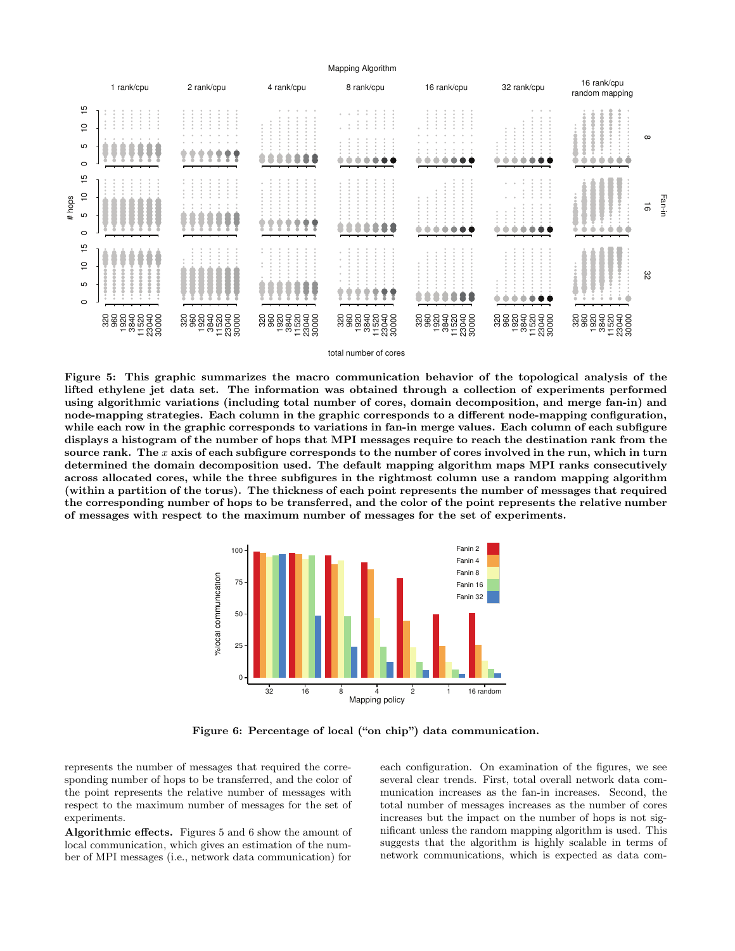

Figure 5: This graphic summarizes the macro communication behavior of the topological analysis of the lifted ethylene jet data set. The information was obtained through a collection of experiments performed using algorithmic variations (including total number of cores, domain decomposition, and merge fan-in) and node-mapping strategies. Each column in the graphic corresponds to a different node-mapping configuration, while each row in the graphic corresponds to variations in fan-in merge values. Each column of each subfigure displays a histogram of the number of hops that MPI messages require to reach the destination rank from the source rank. The x axis of each subfigure corresponds to the number of cores involved in the run, which in turn determined the domain decomposition used. The default mapping algorithm maps MPI ranks consecutively across allocated cores, while the three subfigures in the rightmost column use a random mapping algorithm (within a partition of the torus). The thickness of each point represents the number of messages that required the corresponding number of hops to be transferred, and the color of the point represents the relative number of messages with respect to the maximum number of messages for the set of experiments.



Figure 6: Percentage of local ("on chip") data communication.

represents the number of messages that required the corresponding number of hops to be transferred, and the color of the point represents the relative number of messages with respect to the maximum number of messages for the set of experiments.

Algorithmic effects. Figures 5 and 6 show the amount of local communication, which gives an estimation of the number of MPI messages (i.e., network data communication) for

each configuration. On examination of the figures, we see several clear trends. First, total overall network data communication increases as the fan-in increases. Second, the total number of messages increases as the number of cores increases but the impact on the number of hops is not significant unless the random mapping algorithm is used. This suggests that the algorithm is highly scalable in terms of network communications, which is expected as data com-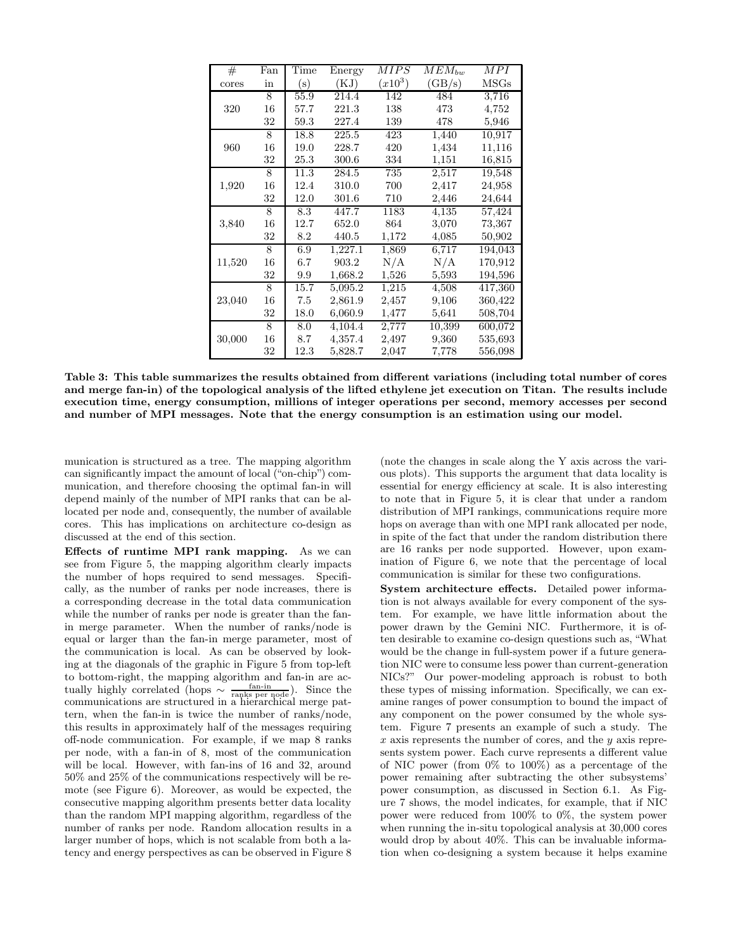| $^{\#}$ | Fan | Time           | Energy  | MIPS      | $MEM_{bw}$ | MPI            |
|---------|-----|----------------|---------|-----------|------------|----------------|
| cores   | in  | $(\mathrm{s})$ | (KJ)    | $(x10^3)$ | (GB/s)     | $_{\rm{MSGs}}$ |
|         | 8   | 55.9           | 214.4   | 142       | 484        | 3,716          |
| 320     | 16  | 57.7           | 221.3   | 138       | 473        | 4,752          |
|         | 32  | 59.3           | 227.4   | 139       | 478        | 5,946          |
|         | 8   | 18.8           | 225.5   | 423       | 1,440      | 10,917         |
| 960     | 16  | 19.0           | 228.7   | 420       | 1,434      | 11,116         |
|         | 32  | 25.3           | 300.6   | 334       | 1,151      | 16,815         |
|         | 8   | 11.3           | 284.5   | 735       | 2,517      | 19,548         |
| 1,920   | 16  | 12.4           | 310.0   | 700       | 2,417      | 24,958         |
|         | 32  | 12.0           | 301.6   | 710       | 2,446      | 24,644         |
|         | 8   | 8.3            | 447.7   | 1183      | 4,135      | 57,424         |
| 3,840   | 16  | 12.7           | 652.0   | 864       | 3,070      | 73,367         |
|         | 32  | 8.2            | 440.5   | 1,172     | 4,085      | 50,902         |
|         | 8   | 6.9            | 1,227.1 | 1,869     | 6,717      | 194,043        |
| 11,520  | 16  | 6.7            | 903.2   | N/A       | N/A        | 170,912        |
|         | 32  | 9.9            | 1,668.2 | 1,526     | 5,593      | 194,596        |
|         | 8   | 15.7           | 5,095.2 | 1,215     | 4,508      | 417,360        |
| 23,040  | 16  | 7.5            | 2,861.9 | 2,457     | 9,106      | 360,422        |
|         | 32  | 18.0           | 6,060.9 | 1,477     | 5,641      | 508,704        |
|         | 8   | 8.0            | 4,104.4 | 2,777     | 10,399     | 600,072        |
| 30,000  | 16  | 8.7            | 4,357.4 | 2,497     | 9,360      | 535,693        |
|         | 32  | 12.3           | 5,828.7 | 2,047     | 7,778      | 556,098        |

Table 3: This table summarizes the results obtained from different variations (including total number of cores and merge fan-in) of the topological analysis of the lifted ethylene jet execution on Titan. The results include execution time, energy consumption, millions of integer operations per second, memory accesses per second and number of MPI messages. Note that the energy consumption is an estimation using our model.

munication is structured as a tree. The mapping algorithm can significantly impact the amount of local ("on-chip") communication, and therefore choosing the optimal fan-in will depend mainly of the number of MPI ranks that can be allocated per node and, consequently, the number of available cores. This has implications on architecture co-design as discussed at the end of this section.

Effects of runtime MPI rank mapping. As we can see from Figure 5, the mapping algorithm clearly impacts the number of hops required to send messages. Specifically, as the number of ranks per node increases, there is a corresponding decrease in the total data communication while the number of ranks per node is greater than the fanin merge parameter. When the number of ranks/node is equal or larger than the fan-in merge parameter, most of the communication is local. As can be observed by looking at the diagonals of the graphic in Figure 5 from top-left to bottom-right, the mapping algorithm and fan-in are actually highly correlated (hops  $\sim \frac{\text{fan-in}}{\text{ranks per node}}$ ). Since the communications are structured in a hierarchical merge pattern, when the fan-in is twice the number of ranks/node, this results in approximately half of the messages requiring off-node communication. For example, if we map 8 ranks per node, with a fan-in of 8, most of the communication will be local. However, with fan-ins of 16 and 32, around 50% and 25% of the communications respectively will be remote (see Figure 6). Moreover, as would be expected, the consecutive mapping algorithm presents better data locality than the random MPI mapping algorithm, regardless of the number of ranks per node. Random allocation results in a larger number of hops, which is not scalable from both a latency and energy perspectives as can be observed in Figure 8

(note the changes in scale along the Y axis across the various plots). This supports the argument that data locality is essential for energy efficiency at scale. It is also interesting to note that in Figure 5, it is clear that under a random distribution of MPI rankings, communications require more hops on average than with one MPI rank allocated per node, in spite of the fact that under the random distribution there are 16 ranks per node supported. However, upon examination of Figure 6, we note that the percentage of local communication is similar for these two configurations.

System architecture effects. Detailed power information is not always available for every component of the system. For example, we have little information about the power drawn by the Gemini NIC. Furthermore, it is often desirable to examine co-design questions such as, "What would be the change in full-system power if a future generation NIC were to consume less power than current-generation NICs?" Our power-modeling approach is robust to both these types of missing information. Specifically, we can examine ranges of power consumption to bound the impact of any component on the power consumed by the whole system. Figure 7 presents an example of such a study. The  $x$  axis represents the number of cores, and the  $y$  axis represents system power. Each curve represents a different value of NIC power (from 0% to 100%) as a percentage of the power remaining after subtracting the other subsystems' power consumption, as discussed in Section 6.1. As Figure 7 shows, the model indicates, for example, that if NIC power were reduced from 100% to 0%, the system power when running the in-situ topological analysis at 30,000 cores would drop by about 40%. This can be invaluable information when co-designing a system because it helps examine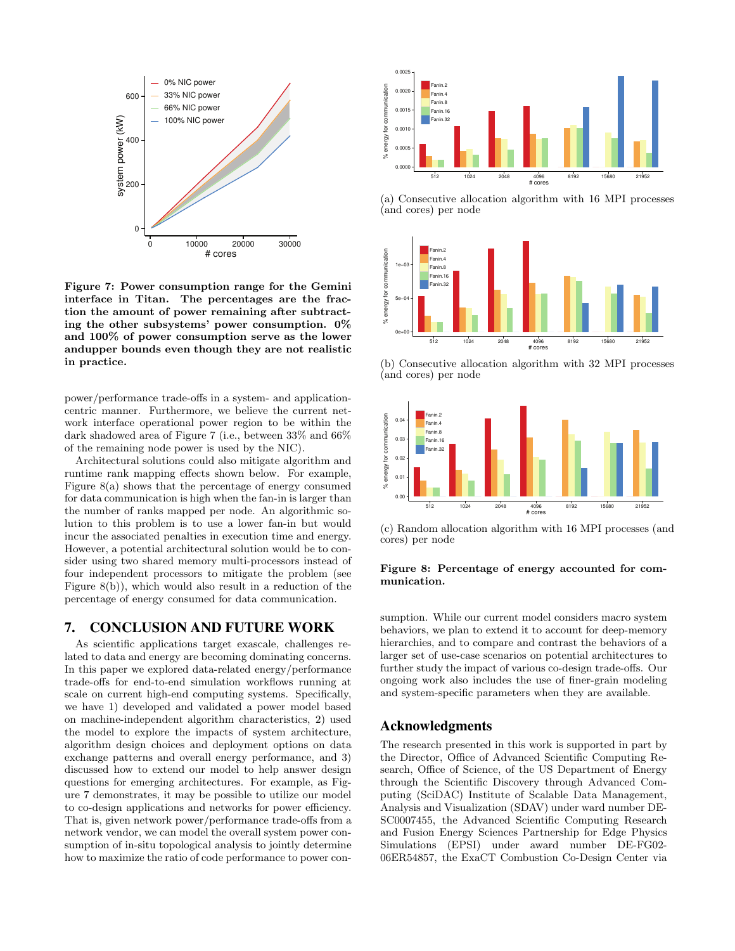

Figure 7: Power consumption range for the Gemini interface in Titan. The percentages are the fraction the amount of power remaining after subtracting the other subsystems' power consumption. 0% and 100% of power consumption serve as the lower andupper bounds even though they are not realistic in practice.

power/performance trade-offs in a system- and applicationcentric manner. Furthermore, we believe the current network interface operational power region to be within the dark shadowed area of Figure 7 (i.e., between 33% and 66% of the remaining node power is used by the NIC).

Architectural solutions could also mitigate algorithm and runtime rank mapping effects shown below. For example, Figure 8(a) shows that the percentage of energy consumed for data communication is high when the fan-in is larger than the number of ranks mapped per node. An algorithmic solution to this problem is to use a lower fan-in but would incur the associated penalties in execution time and energy. However, a potential architectural solution would be to consider using two shared memory multi-processors instead of four independent processors to mitigate the problem (see Figure 8(b)), which would also result in a reduction of the percentage of energy consumed for data communication.

### 7. CONCLUSION AND FUTURE WORK

As scientific applications target exascale, challenges related to data and energy are becoming dominating concerns. In this paper we explored data-related energy/performance trade-offs for end-to-end simulation workflows running at scale on current high-end computing systems. Specifically, we have 1) developed and validated a power model based on machine-independent algorithm characteristics, 2) used the model to explore the impacts of system architecture, algorithm design choices and deployment options on data exchange patterns and overall energy performance, and 3) discussed how to extend our model to help answer design questions for emerging architectures. For example, as Figure 7 demonstrates, it may be possible to utilize our model to co-design applications and networks for power efficiency. That is, given network power/performance trade-offs from a network vendor, we can model the overall system power consumption of in-situ topological analysis to jointly determine how to maximize the ratio of code performance to power con-



(a) Consecutive allocation algorithm with 16 MPI processes (and cores) per node



(b) Consecutive allocation algorithm with 32 MPI processes (and cores) per node



(c) Random allocation algorithm with 16 MPI processes (and cores) per node

#### Figure 8: Percentage of energy accounted for communication.

sumption. While our current model considers macro system behaviors, we plan to extend it to account for deep-memory hierarchies, and to compare and contrast the behaviors of a larger set of use-case scenarios on potential architectures to further study the impact of various co-design trade-offs. Our ongoing work also includes the use of finer-grain modeling and system-specific parameters when they are available.

### Acknowledgments

The research presented in this work is supported in part by the Director, Office of Advanced Scientific Computing Research, Office of Science, of the US Department of Energy through the Scientific Discovery through Advanced Computing (SciDAC) Institute of Scalable Data Management, Analysis and Visualization (SDAV) under ward number DE-SC0007455, the Advanced Scientific Computing Research and Fusion Energy Sciences Partnership for Edge Physics Simulations (EPSI) under award number DE-FG02- 06ER54857, the ExaCT Combustion Co-Design Center via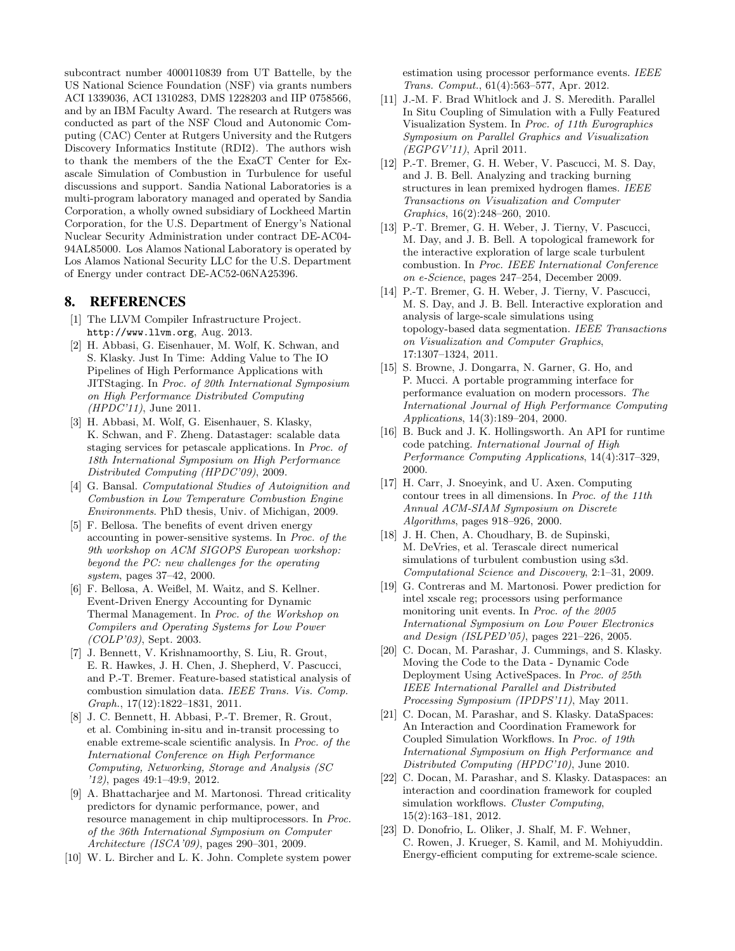subcontract number 4000110839 from UT Battelle, by the US National Science Foundation (NSF) via grants numbers ACI 1339036, ACI 1310283, DMS 1228203 and IIP 0758566, and by an IBM Faculty Award. The research at Rutgers was conducted as part of the NSF Cloud and Autonomic Computing (CAC) Center at Rutgers University and the Rutgers Discovery Informatics Institute (RDI2). The authors wish to thank the members of the the ExaCT Center for Exascale Simulation of Combustion in Turbulence for useful discussions and support. Sandia National Laboratories is a multi-program laboratory managed and operated by Sandia Corporation, a wholly owned subsidiary of Lockheed Martin Corporation, for the U.S. Department of Energy's National Nuclear Security Administration under contract DE-AC04- 94AL85000. Los Alamos National Laboratory is operated by Los Alamos National Security LLC for the U.S. Department of Energy under contract DE-AC52-06NA25396.

### 8. REFERENCES

- [1] The LLVM Compiler Infrastructure Project. http://www.llvm.org, Aug. 2013.
- [2] H. Abbasi, G. Eisenhauer, M. Wolf, K. Schwan, and S. Klasky. Just In Time: Adding Value to The IO Pipelines of High Performance Applications with JITStaging. In *Proc. of 20th International Symposium on High Performance Distributed Computing (HPDC'11)*, June 2011.
- [3] H. Abbasi, M. Wolf, G. Eisenhauer, S. Klasky, K. Schwan, and F. Zheng. Datastager: scalable data staging services for petascale applications. In *Proc. of 18th International Symposium on High Performance Distributed Computing (HPDC'09)*, 2009.
- [4] G. Bansal. *Computational Studies of Autoignition and Combustion in Low Temperature Combustion Engine Environments*. PhD thesis, Univ. of Michigan, 2009.
- [5] F. Bellosa. The benefits of event driven energy accounting in power-sensitive systems. In *Proc. of the 9th workshop on ACM SIGOPS European workshop: beyond the PC: new challenges for the operating system*, pages 37–42, 2000.
- [6] F. Bellosa, A. Weißel, M. Waitz, and S. Kellner. Event-Driven Energy Accounting for Dynamic Thermal Management. In *Proc. of the Workshop on Compilers and Operating Systems for Low Power (COLP'03)*, Sept. 2003.
- [7] J. Bennett, V. Krishnamoorthy, S. Liu, R. Grout, E. R. Hawkes, J. H. Chen, J. Shepherd, V. Pascucci, and P.-T. Bremer. Feature-based statistical analysis of combustion simulation data. *IEEE Trans. Vis. Comp. Graph.*, 17(12):1822–1831, 2011.
- [8] J. C. Bennett, H. Abbasi, P.-T. Bremer, R. Grout, et al. Combining in-situ and in-transit processing to enable extreme-scale scientific analysis. In *Proc. of the International Conference on High Performance Computing, Networking, Storage and Analysis (SC '12)*, pages 49:1–49:9, 2012.
- [9] A. Bhattacharjee and M. Martonosi. Thread criticality predictors for dynamic performance, power, and resource management in chip multiprocessors. In *Proc. of the 36th International Symposium on Computer Architecture (ISCA'09)*, pages 290–301, 2009.
- [10] W. L. Bircher and L. K. John. Complete system power

estimation using processor performance events. *IEEE Trans. Comput.*, 61(4):563–577, Apr. 2012.

- [11] J.-M. F. Brad Whitlock and J. S. Meredith. Parallel In Situ Coupling of Simulation with a Fully Featured Visualization System. In *Proc. of 11th Eurographics Symposium on Parallel Graphics and Visualization (EGPGV'11)*, April 2011.
- [12] P.-T. Bremer, G. H. Weber, V. Pascucci, M. S. Day, and J. B. Bell. Analyzing and tracking burning structures in lean premixed hydrogen flames. *IEEE Transactions on Visualization and Computer Graphics*, 16(2):248–260, 2010.
- [13] P.-T. Bremer, G. H. Weber, J. Tierny, V. Pascucci, M. Day, and J. B. Bell. A topological framework for the interactive exploration of large scale turbulent combustion. In *Proc. IEEE International Conference on e-Science*, pages 247–254, December 2009.
- [14] P.-T. Bremer, G. H. Weber, J. Tierny, V. Pascucci, M. S. Day, and J. B. Bell. Interactive exploration and analysis of large-scale simulations using topology-based data segmentation. *IEEE Transactions on Visualization and Computer Graphics*, 17:1307–1324, 2011.
- [15] S. Browne, J. Dongarra, N. Garner, G. Ho, and P. Mucci. A portable programming interface for performance evaluation on modern processors. *The International Journal of High Performance Computing Applications*, 14(3):189–204, 2000.
- [16] B. Buck and J. K. Hollingsworth. An API for runtime code patching. *International Journal of High Performance Computing Applications*, 14(4):317–329, 2000.
- [17] H. Carr, J. Snoeyink, and U. Axen. Computing contour trees in all dimensions. In *Proc. of the 11th Annual ACM-SIAM Symposium on Discrete Algorithms*, pages 918–926, 2000.
- [18] J. H. Chen, A. Choudhary, B. de Supinski, M. DeVries, et al. Terascale direct numerical simulations of turbulent combustion using s3d. *Computational Science and Discovery*, 2:1–31, 2009.
- [19] G. Contreras and M. Martonosi. Power prediction for intel xscale reg; processors using performance monitoring unit events. In *Proc. of the 2005 International Symposium on Low Power Electronics and Design (ISLPED'05)*, pages 221–226, 2005.
- [20] C. Docan, M. Parashar, J. Cummings, and S. Klasky. Moving the Code to the Data - Dynamic Code Deployment Using ActiveSpaces. In *Proc. of 25th IEEE International Parallel and Distributed Processing Symposium (IPDPS'11)*, May 2011.
- [21] C. Docan, M. Parashar, and S. Klasky. DataSpaces: An Interaction and Coordination Framework for Coupled Simulation Workflows. In *Proc. of 19th International Symposium on High Performance and Distributed Computing (HPDC'10)*, June 2010.
- [22] C. Docan, M. Parashar, and S. Klasky. Dataspaces: an interaction and coordination framework for coupled simulation workflows. *Cluster Computing*, 15(2):163–181, 2012.
- [23] D. Donofrio, L. Oliker, J. Shalf, M. F. Wehner, C. Rowen, J. Krueger, S. Kamil, and M. Mohiyuddin. Energy-efficient computing for extreme-scale science.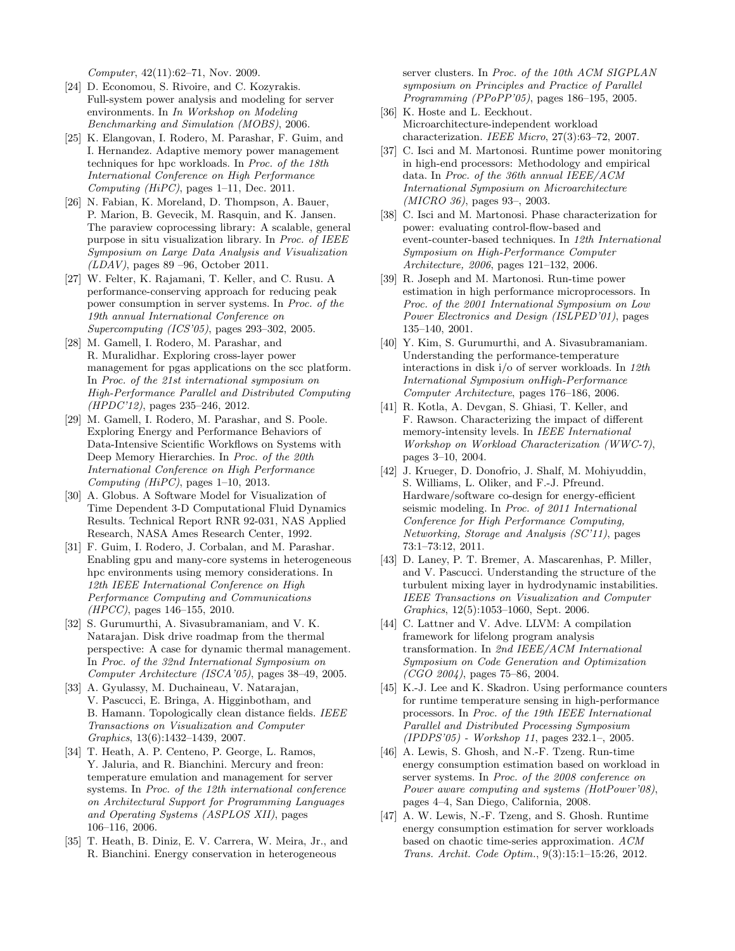*Computer*, 42(11):62–71, Nov. 2009.

- [24] D. Economou, S. Rivoire, and C. Kozyrakis. Full-system power analysis and modeling for server environments. In *In Workshop on Modeling Benchmarking and Simulation (MOBS)*, 2006.
- [25] K. Elangovan, I. Rodero, M. Parashar, F. Guim, and I. Hernandez. Adaptive memory power management techniques for hpc workloads. In *Proc. of the 18th International Conference on High Performance Computing (HiPC)*, pages 1–11, Dec. 2011.
- [26] N. Fabian, K. Moreland, D. Thompson, A. Bauer, P. Marion, B. Gevecik, M. Rasquin, and K. Jansen. The paraview coprocessing library: A scalable, general purpose in situ visualization library. In *Proc. of IEEE Symposium on Large Data Analysis and Visualization (LDAV)*, pages 89 –96, October 2011.
- [27] W. Felter, K. Rajamani, T. Keller, and C. Rusu. A performance-conserving approach for reducing peak power consumption in server systems. In *Proc. of the 19th annual International Conference on Supercomputing (ICS'05)*, pages 293–302, 2005.
- [28] M. Gamell, I. Rodero, M. Parashar, and R. Muralidhar. Exploring cross-layer power management for pgas applications on the scc platform. In *Proc. of the 21st international symposium on High-Performance Parallel and Distributed Computing (HPDC'12)*, pages 235–246, 2012.
- [29] M. Gamell, I. Rodero, M. Parashar, and S. Poole. Exploring Energy and Performance Behaviors of Data-Intensive Scientific Workflows on Systems with Deep Memory Hierarchies. In *Proc. of the 20th International Conference on High Performance Computing (HiPC)*, pages 1–10, 2013.
- [30] A. Globus. A Software Model for Visualization of Time Dependent 3-D Computational Fluid Dynamics Results. Technical Report RNR 92-031, NAS Applied Research, NASA Ames Research Center, 1992.
- [31] F. Guim, I. Rodero, J. Corbalan, and M. Parashar. Enabling gpu and many-core systems in heterogeneous hpc environments using memory considerations. In *12th IEEE International Conference on High Performance Computing and Communications (HPCC)*, pages 146–155, 2010.
- [32] S. Gurumurthi, A. Sivasubramaniam, and V. K. Natarajan. Disk drive roadmap from the thermal perspective: A case for dynamic thermal management. In *Proc. of the 32nd International Symposium on Computer Architecture (ISCA'05)*, pages 38–49, 2005.
- [33] A. Gyulassy, M. Duchaineau, V. Natarajan, V. Pascucci, E. Bringa, A. Higginbotham, and B. Hamann. Topologically clean distance fields. *IEEE Transactions on Visualization and Computer Graphics*, 13(6):1432–1439, 2007.
- [34] T. Heath, A. P. Centeno, P. George, L. Ramos, Y. Jaluria, and R. Bianchini. Mercury and freon: temperature emulation and management for server systems. In *Proc. of the 12th international conference on Architectural Support for Programming Languages and Operating Systems (ASPLOS XII)*, pages 106–116, 2006.
- [35] T. Heath, B. Diniz, E. V. Carrera, W. Meira, Jr., and R. Bianchini. Energy conservation in heterogeneous

server clusters. In *Proc. of the 10th ACM SIGPLAN symposium on Principles and Practice of Parallel Programming (PPoPP'05)*, pages 186–195, 2005.

- [36] K. Hoste and L. Eeckhout. Microarchitecture-independent workload characterization. *IEEE Micro*, 27(3):63–72, 2007.
- [37] C. Isci and M. Martonosi. Runtime power monitoring in high-end processors: Methodology and empirical data. In *Proc. of the 36th annual IEEE/ACM International Symposium on Microarchitecture (MICRO 36)*, pages 93–, 2003.
- [38] C. Isci and M. Martonosi. Phase characterization for power: evaluating control-flow-based and event-counter-based techniques. In *12th International Symposium on High-Performance Computer Architecture, 2006*, pages 121–132, 2006.
- [39] R. Joseph and M. Martonosi. Run-time power estimation in high performance microprocessors. In *Proc. of the 2001 International Symposium on Low Power Electronics and Design (ISLPED'01)*, pages 135–140, 2001.
- [40] Y. Kim, S. Gurumurthi, and A. Sivasubramaniam. Understanding the performance-temperature interactions in disk i/o of server workloads. In *12th International Symposium onHigh-Performance Computer Architecture*, pages 176–186, 2006.
- [41] R. Kotla, A. Devgan, S. Ghiasi, T. Keller, and F. Rawson. Characterizing the impact of different memory-intensity levels. In *IEEE International Workshop on Workload Characterization (WWC-7)*, pages 3–10, 2004.
- [42] J. Krueger, D. Donofrio, J. Shalf, M. Mohiyuddin, S. Williams, L. Oliker, and F.-J. Pfreund. Hardware/software co-design for energy-efficient seismic modeling. In *Proc. of 2011 International Conference for High Performance Computing, Networking, Storage and Analysis (SC'11)*, pages 73:1–73:12, 2011.
- [43] D. Laney, P. T. Bremer, A. Mascarenhas, P. Miller, and V. Pascucci. Understanding the structure of the turbulent mixing layer in hydrodynamic instabilities. *IEEE Transactions on Visualization and Computer Graphics*, 12(5):1053–1060, Sept. 2006.
- [44] C. Lattner and V. Adve. LLVM: A compilation framework for lifelong program analysis transformation. In *2nd IEEE/ACM International Symposium on Code Generation and Optimization (CGO 2004)*, pages 75–86, 2004.
- [45] K.-J. Lee and K. Skadron. Using performance counters for runtime temperature sensing in high-performance processors. In *Proc. of the 19th IEEE International Parallel and Distributed Processing Symposium (IPDPS'05) - Workshop 11*, pages 232.1–, 2005.
- [46] A. Lewis, S. Ghosh, and N.-F. Tzeng. Run-time energy consumption estimation based on workload in server systems. In *Proc. of the 2008 conference on Power aware computing and systems (HotPower'08)*, pages 4–4, San Diego, California, 2008.
- [47] A. W. Lewis, N.-F. Tzeng, and S. Ghosh. Runtime energy consumption estimation for server workloads based on chaotic time-series approximation. *ACM Trans. Archit. Code Optim.*, 9(3):15:1–15:26, 2012.